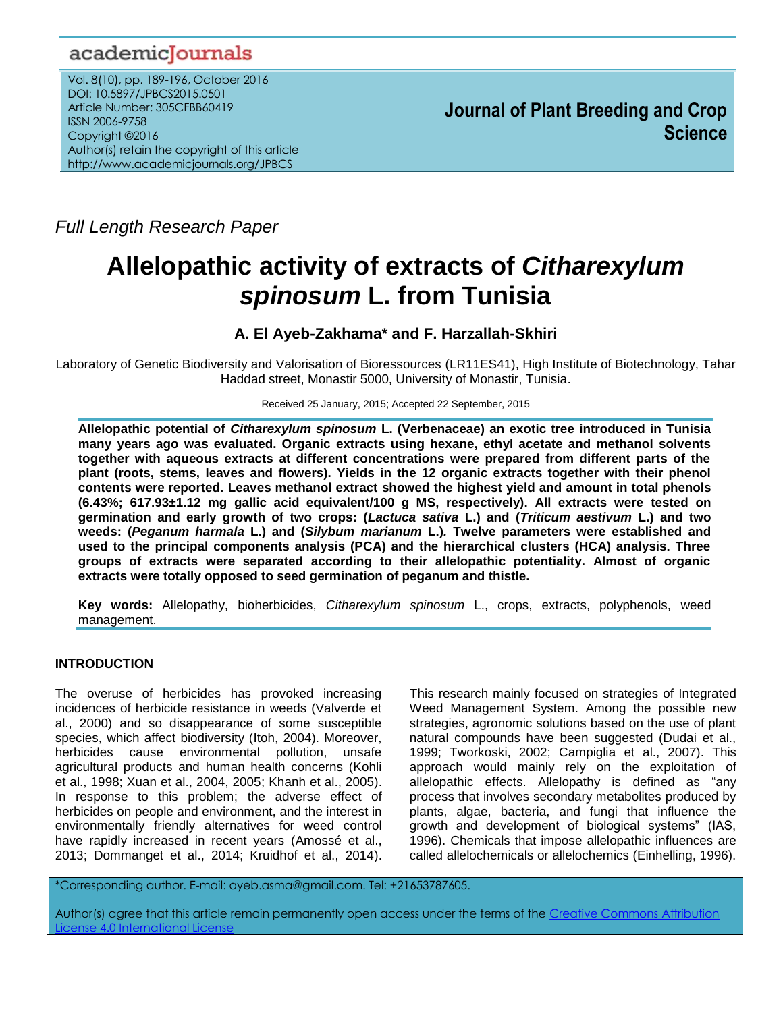# academicJournals

Vol. 8(10), pp. 189-196, October 2016 DOI: 10.5897/JPBCS2015.0501 Article Number: 305CFBB60419 ISSN 2006-9758 Copyright ©2016 Author(s) retain the copyright of this article http://www.academicjournals.org/JPBCS

*Full Length Research Paper*

# **Allelopathic activity of extracts of** *Citharexylum spinosum* **L. from Tunisia**

# **A. El Ayeb-Zakhama\* and F. Harzallah-Skhiri**

Laboratory of Genetic Biodiversity and Valorisation of Bioressources (LR11ES41), High Institute of Biotechnology, Tahar Haddad street, Monastir 5000, University of Monastir, Tunisia.

Received 25 January, 2015; Accepted 22 September, 2015

**Allelopathic potential of** *Citharexylum spinosum* **L. (Verbenaceae) an exotic tree introduced in Tunisia many years ago was evaluated. Organic extracts using hexane, ethyl acetate and methanol solvents together with aqueous extracts at different concentrations were prepared from different parts of the plant (roots, stems, leaves and flowers). Yields in the 12 organic extracts together with their phenol contents were reported. Leaves methanol extract showed the highest yield and amount in total phenols (6.43%; 617.93±1.12 mg gallic acid equivalent/100 g MS, respectively). All extracts were tested on germination and early growth of two crops: (***Lactuca sativa* **L.) and (***Triticum aestivum* **L.) and two weeds: (***Peganum harmala* **L.) and (***Silybum marianum* **[L.\)](http://fr.wikipedia.org/wiki/Carl_von_Linn%C3%A9)***.* **Twelve parameters were established and used to the principal components analysis (PCA) and the hierarchical clusters (HCA) analysis. Three groups of extracts were separated according to their allelopathic potentiality. Almost of organic extracts were totally opposed to seed germination of peganum and thistle.** 

**Key words:** Allelopathy, bioherbicides, *Citharexylum spinosum* L., crops, extracts, polyphenols, weed management.

# **INTRODUCTION**

The overuse of herbicides has provoked increasing incidences of herbicide resistance in weeds (Valverde et al., 2000) and so disappearance of some susceptible species, which affect biodiversity (Itoh, 2004). Moreover, herbicides cause environmental pollution, unsafe agricultural products and human health concerns (Kohli et al., 1998; Xuan et al., 2004, 2005; Khanh et al., 2005). In response to this problem; the adverse effect of herbicides on people and environment, and the interest in environmentally friendly alternatives for weed control have rapidly increased in recent years (Amossé et al., 2013; Dommanget et al., 2014; Kruidhof et al., 2014). This research mainly focused on strategies of Integrated Weed Management System. Among the possible new strategies, agronomic solutions based on the use of plant natural compounds have been suggested (Dudai et al., 1999; Tworkoski, 2002; Campiglia et al., 2007). This approach would mainly rely on the exploitation of allelopathic effects. Allelopathy is defined as "any process that involves secondary metabolites produced by plants, algae, bacteria, and fungi that influence the growth and development of biological systems" (IAS, 1996). Chemicals that impose allelopathic influences are called allelochemicals or allelochemics (Einhelling, 1996).

\*Corresponding author. E-mail: ayeb.asma@gmail.com. Tel: +21653787605.

Author(s) agree that this article remain permanently open access under the terms of the Creative Commons Attribution cense 4.0 International Licen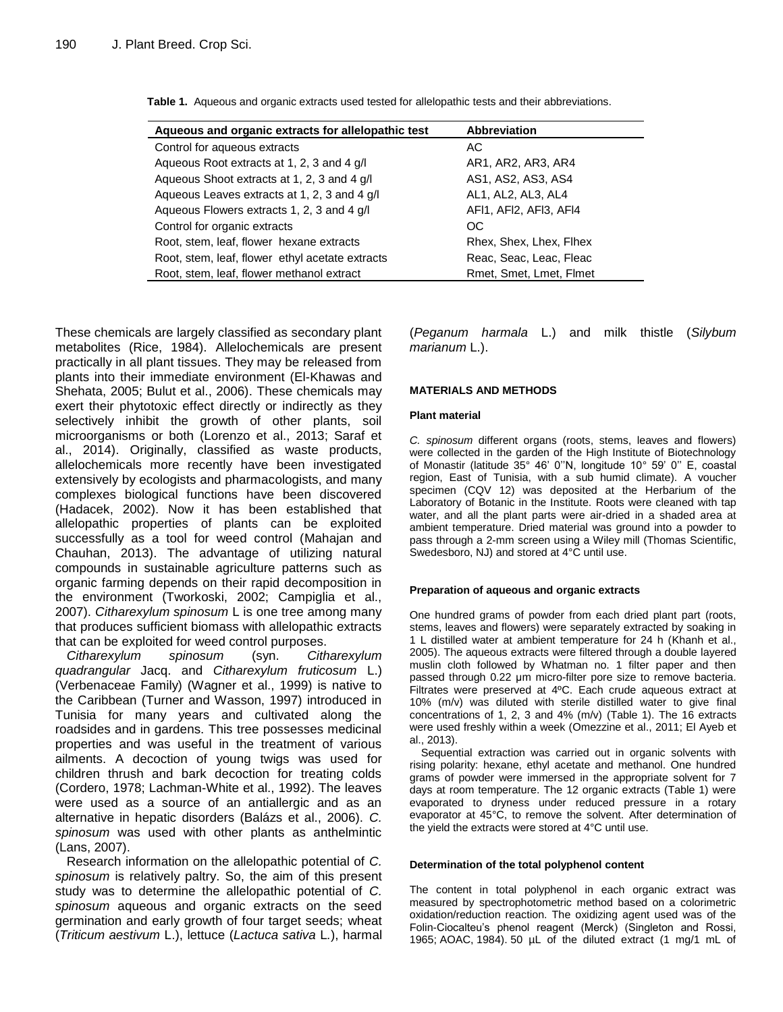| Aqueous and organic extracts for allelopathic test | <b>Abbreviation</b>     |
|----------------------------------------------------|-------------------------|
| Control for aqueous extracts                       | AC.                     |
| Aqueous Root extracts at 1, 2, 3 and 4 g/l         | AR1, AR2, AR3, AR4      |
| Aqueous Shoot extracts at 1, 2, 3 and 4 g/l        | AS1, AS2, AS3, AS4      |
| Aqueous Leaves extracts at 1, 2, 3 and 4 g/l       | AL1, AL2, AL3, AL4      |
| Aqueous Flowers extracts 1, 2, 3 and 4 g/l         | AFI1, AFI2, AFI3, AFI4  |
| Control for organic extracts                       | <sub>OC</sub>           |
| Root, stem, leaf, flower hexane extracts           | Rhex, Shex, Lhex, Flhex |
| Root, stem, leaf, flower ethyl acetate extracts    | Reac, Seac, Leac, Fleac |
| Root, stem, leaf, flower methanol extract          | Rmet, Smet, Lmet, Flmet |

**Table 1.** Aqueous and organic extracts used tested for allelopathic tests and their abbreviations.

These chemicals are largely classified as secondary plant metabolites (Rice, 1984). Allelochemicals are present practically in all plant tissues. They may be released from plants into their immediate environment (El-Khawas and Shehata, 2005; Bulut et al., 2006). These chemicals may exert their phytotoxic effect directly or indirectly as they selectively inhibit the growth of other plants, soil microorganisms or both (Lorenzo et al., 2013; Saraf et al., 2014). Originally, classified as waste products, allelochemicals more recently have been investigated extensively by ecologists and pharmacologists, and many complexes biological functions have been discovered (Hadacek, 2002). Now it has been established that allelopathic properties of plants can be exploited successfully as a tool for weed control (Mahajan and Chauhan, 2013). The advantage of utilizing natural compounds in sustainable agriculture patterns such as organic farming depends on their rapid decomposition in the environment (Tworkoski, 2002; Campiglia et al., 2007). *Citharexylum spinosum* L is one tree among many that produces sufficient biomass with allelopathic extracts that can be exploited for weed control purposes.

*Citharexylum spinosum* (syn. *Citharexylum quadrangular* Jacq. and *Citharexylum fruticosum* L.) (Verbenaceae Family) (Wagner et al., 1999) is native to the Caribbean (Turner and Wasson, 1997) introduced in Tunisia for many years and cultivated along the roadsides and in gardens. This tree possesses medicinal properties and was useful in the treatment of various ailments. A decoction of young twigs was used for children thrush and bark decoction for treating colds (Cordero, 1978; Lachman-White et al., 1992). The leaves were used as a source of an antiallergic and as an alternative in hepatic disorders (Balázs et al., 2006). *C. spinosum* was used with other plants as anthelmintic (Lans, 2007).

Research information on the allelopathic potential of *C. spinosum* is relatively paltry. So, the aim of this present study was to determine the allelopathic potential of *C. spinosum* aqueous and organic extracts on the seed germination and early growth of four target seeds; wheat (*Triticum aestivum* L.), lettuce (*Lactuca sativa* L*.*), harmal (*Peganum harmala* L.) and milk thistle (*Silybum marianum* [L.\)](http://fr.wikipedia.org/wiki/Carl_von_Linn%C3%A9).

# **MATERIALS AND METHODS**

#### **Plant material**

*C. spinosum* different organs (roots, stems, leaves and flowers) were collected in the garden of the High Institute of Biotechnology of Monastir (latitude 35° 46' 0''N, longitude 10° 59' 0'' E, coastal region, East of Tunisia, with a sub humid climate). A voucher specimen (CQV 12) was deposited at the Herbarium of the Laboratory of Botanic in the Institute. Roots were cleaned with tap water, and all the plant parts were air-dried in a shaded area at ambient temperature. Dried material was ground into a powder to pass through a 2-mm screen using a Wiley mill (Thomas Scientific, Swedesboro, NJ) and stored at 4°C until use.

#### **Preparation of aqueous and organic extracts**

One hundred grams of powder from each dried plant part (roots, stems, leaves and flowers) were separately extracted by soaking in 1 L distilled water at ambient temperature for 24 h (Khanh et al., 2005). The aqueous extracts were filtered through a double layered muslin cloth followed by Whatman no. 1 filter paper and then passed through 0.22 μm micro-filter pore size to remove bacteria. Filtrates were preserved at 4ºC. Each crude aqueous extract at 10% (m/v) was diluted with sterile distilled water to give final concentrations of 1, 2, 3 and 4% (m/v) (Table 1). The 16 extracts were used freshly within a week (Omezzine et al., 2011; El Ayeb et al., 2013).

Sequential extraction was carried out in organic solvents with rising polarity: hexane, ethyl acetate and methanol. One hundred grams of powder were immersed in the appropriate solvent for 7 days at room temperature. The 12 organic extracts (Table 1) were evaporated to dryness under reduced pressure in a rotary evaporator at 45°C, to remove the solvent. After determination of the yield the extracts were stored at 4°C until use.

#### **Determination of the total polyphenol content**

The content in total polyphenol in each organic extract was measured by spectrophotometric method based on a colorimetric oxidation/reduction reaction. The oxidizing agent used was of the Folin-Ciocalteu's phenol reagent (Merck) (Singleton and Rossi, 1965; AOAC, 1984). 50 µL of the diluted extract (1 mg/1 mL of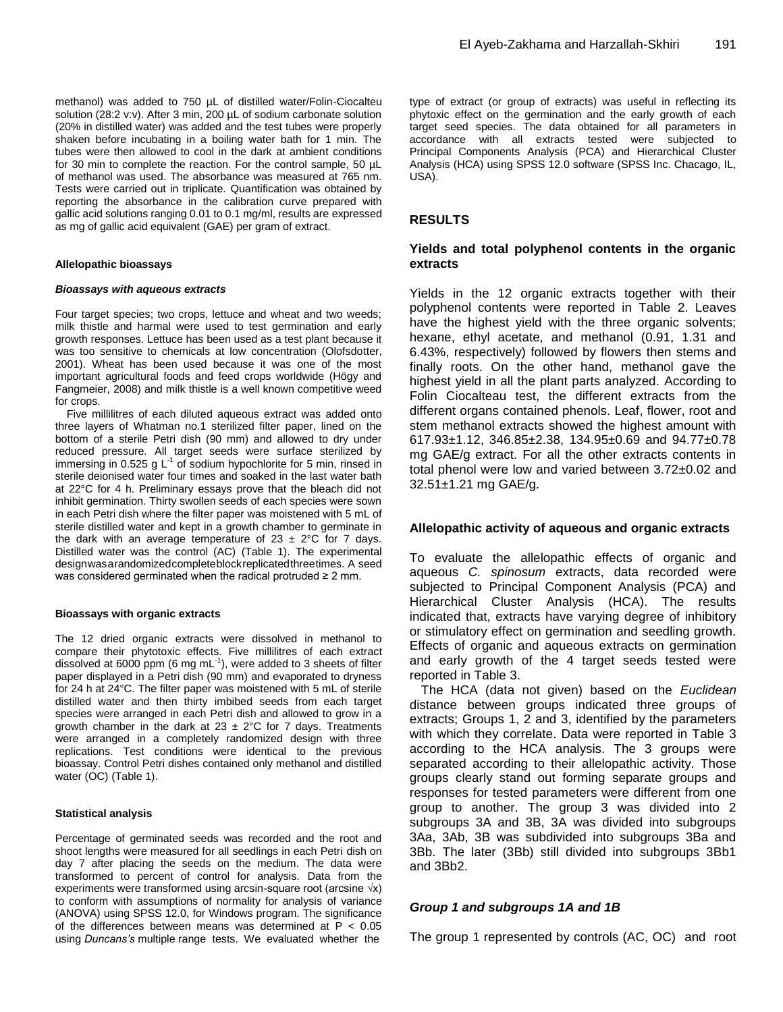methanol) was added to 750 µL of distilled water/Folin-Ciocalteu solution (28:2 v:v). After 3 min, 200 µL of sodium carbonate solution (20% in distilled water) was added and the test tubes were properly shaken before incubating in a boiling water bath for 1 min. The tubes were then allowed to cool in the dark at ambient conditions for 30 min to complete the reaction. For the control sample, 50 µL of methanol was used. The absorbance was measured at 765 nm. Tests were carried out in triplicate. Quantification was obtained by reporting the absorbance in the calibration curve prepared with gallic acid solutions ranging 0.01 to 0.1 mg/ml, results are expressed as mg of gallic acid equivalent (GAE) per gram of extract.

#### **Allelopathic bioassays**

#### *Bioassays with aqueous extracts*

Four target species; two crops, lettuce and wheat and two weeds; milk thistle and harmal were used to test germination and early growth responses. Lettuce has been used as a test plant because it was too sensitive to chemicals at low concentration (Olofsdotter, 2001). Wheat has been used because it was one of the most important agricultural foods and feed crops worldwide (Högy and Fangmeier, 2008) and milk thistle is a well known competitive weed for crops.

Five millilitres of each diluted aqueous extract was added onto three layers of Whatman no.1 sterilized filter paper, lined on the bottom of a sterile Petri dish (90 mm) and allowed to dry under reduced pressure. All target seeds were surface sterilized by immersing in 0.525 g  $L^{-1}$  of sodium hypochlorite for 5 min, rinsed in sterile deionised water four times and soaked in the last water bath at 22°C for 4 h. Preliminary essays prove that the bleach did not inhibit germination. Thirty swollen seeds of each species were sown in each Petri dish where the filter paper was moistened with 5 mL of sterile distilled water and kept in a growth chamber to germinate in the dark with an average temperature of  $23 \pm 2^{\circ}$ C for 7 days. Distilled water was the control (AC) (Table 1). The experimental designwasarandomizedcompleteblockreplicatedthreetimes. A seed was considered germinated when the radical protruded ≥ 2 mm.

#### **Bioassays with organic extracts**

The 12 dried organic extracts were dissolved in methanol to compare their phytotoxic effects. Five millilitres of each extract dissolved at 6000 ppm (6 mg mL $^{-1}$ ), were added to 3 sheets of filter paper displayed in a Petri dish (90 mm) and evaporated to dryness for 24 h at 24°C. The filter paper was moistened with 5 mL of sterile distilled water and then thirty imbibed seeds from each target species were arranged in each Petri dish and allowed to grow in a growth chamber in the dark at  $23 \pm 2^{\circ}$ C for 7 days. Treatments were arranged in a completely randomized design with three replications. Test conditions were identical to the previous bioassay. Control Petri dishes contained only methanol and distilled water (OC) (Table 1).

#### **Statistical analysis**

Percentage of germinated seeds was recorded and the root and shoot lengths were measured for all seedlings in each Petri dish on day 7 after placing the seeds on the medium. The data were transformed to percent of control for analysis. Data from the experiments were transformed using arcsin-square root (arcsine √x) to conform with assumptions of normality for analysis of variance (ANOVA) using SPSS 12.0, for Windows program. The significance of the differences between means was determined at  $P < 0.05$ using *Duncans's* multiple range tests. We evaluated whether the

type of extract (or group of extracts) was useful in reflecting its phytoxic effect on the germination and the early growth of each target seed species. The data obtained for all parameters in accordance with all extracts tested were subjected to Principal Components Analysis (PCA) and Hierarchical Cluster Analysis (HCA) using SPSS 12.0 software (SPSS Inc. Chacago, IL, USA).

# **RESULTS**

# **Yields and total polyphenol contents in the organic extracts**

Yields in the 12 organic extracts together with their polyphenol contents were reported in Table 2. Leaves have the highest yield with the three organic solvents; hexane, ethyl acetate, and methanol (0.91, 1.31 and 6.43%, respectively) followed by flowers then stems and finally roots. On the other hand, methanol gave the highest yield in all the plant parts analyzed. According to Folin Ciocalteau test, the different extracts from the different organs contained phenols. Leaf, flower, root and stem methanol extracts showed the highest amount with 617.93±1.12, 346.85±2.38, 134.95±0.69 and 94.77±0.78 mg GAE/g extract. For all the other extracts contents in total phenol were low and varied between 3.72±0.02 and 32.51±1.21 mg GAE/g.

#### **Allelopathic activity of aqueous and organic extracts**

To evaluate the allelopathic effects of organic and aqueous *C. spinosum* extracts, data recorded were subjected to Principal Component Analysis (PCA) and Hierarchical Cluster Analysis (HCA). The results indicated that, extracts have varying degree of inhibitory or stimulatory effect on germination and seedling growth. Effects of organic and aqueous extracts on germination and early growth of the 4 target seeds tested were reported in Table 3.

The HCA (data not given) based on the *Euclidean* distance between groups indicated three groups of extracts; Groups 1, 2 and 3, identified by the parameters with which they correlate. Data were reported in Table 3 according to the HCA analysis. The 3 groups were separated according to their allelopathic activity. Those groups clearly stand out forming separate groups and responses for tested parameters were different from one group to another. The group 3 was divided into 2 subgroups 3A and 3B, 3A was divided into subgroups 3Aa, 3Ab, 3B was subdivided into subgroups 3Ba and 3Bb. The later (3Bb) still divided into subgroups 3Bb1 and 3Bb2.

# *Group 1 and subgroups 1A and 1B*

The group 1 represented by controls (AC, OC) and root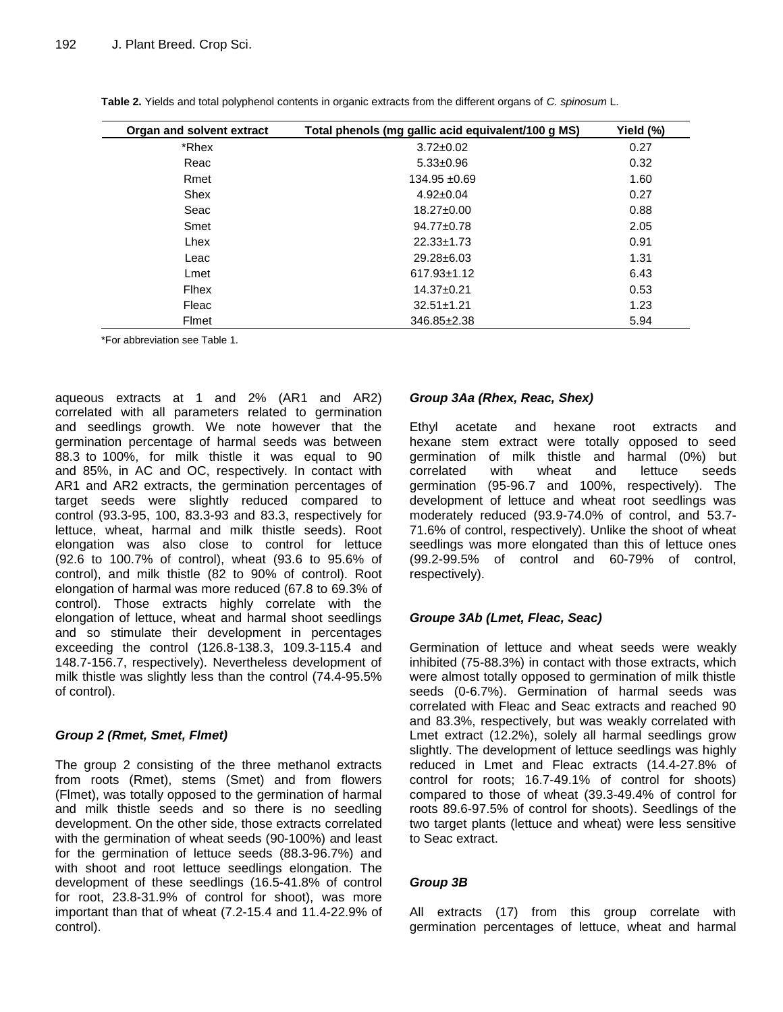| Organ and solvent extract | Total phenols (mg gallic acid equivalent/100 g MS) | Yield (%) |
|---------------------------|----------------------------------------------------|-----------|
| *Rhex                     | $3.72 \pm 0.02$                                    | 0.27      |
| Reac                      | $5.33 \pm 0.96$                                    | 0.32      |
| Rmet                      | 134.95 ±0.69                                       | 1.60      |
| Shex                      | $4.92 \pm 0.04$                                    | 0.27      |
| Seac                      | $18.27 \pm 0.00$                                   | 0.88      |
| Smet                      | 94.77±0.78                                         | 2.05      |
| Lhex                      | $22.33 \pm 1.73$                                   | 0.91      |
| Leac                      | 29.28±6.03                                         | 1.31      |
| Lmet                      | $617.93 \pm 1.12$                                  | 6.43      |
| Flhex                     | $14.37 \pm 0.21$                                   | 0.53      |
| Fleac                     | $32.51 \pm 1.21$                                   | 1.23      |
| Flmet                     | 346.85±2.38                                        | 5.94      |

**Table 2.** Yields and total polyphenol contents in organic extracts from the different organs of *C. spinosum* L.

\*For abbreviation see Table 1.

aqueous extracts at 1 and 2% (AR1 and AR2) correlated with all parameters related to germination and seedlings growth. We note however that the germination percentage of harmal seeds was between 88.3 to 100%, for milk thistle it was equal to 90 and 85%, in AC and OC, respectively. In contact with AR1 and AR2 extracts, the germination percentages of target seeds were slightly reduced compared to control (93.3-95, 100, 83.3-93 and 83.3, respectively for lettuce, wheat, harmal and milk thistle seeds). Root elongation was also close to control for lettuce (92.6 to 100.7% of control), wheat (93.6 to 95.6% of control), and milk thistle (82 to 90% of control). Root elongation of harmal was more reduced (67.8 to 69.3% of control). Those extracts highly correlate with the elongation of lettuce, wheat and harmal shoot seedlings and so stimulate their development in percentages exceeding the control (126.8-138.3, 109.3-115.4 and 148.7-156.7, respectively). Nevertheless development of milk thistle was slightly less than the control (74.4-95.5% of control).

# *Group 2 (Rmet, Smet, Flmet)*

The group 2 consisting of the three methanol extracts from roots (Rmet), stems (Smet) and from flowers (Flmet), was totally opposed to the germination of harmal and milk thistle seeds and so there is no seedling development. On the other side, those extracts correlated with the germination of wheat seeds (90-100%) and least for the germination of lettuce seeds (88.3-96.7%) and with shoot and root lettuce seedlings elongation. The development of these seedlings (16.5-41.8% of control for root, 23.8-31.9% of control for shoot), was more important than that of wheat (7.2-15.4 and 11.4-22.9% of control).

# *Group 3Aa (Rhex, Reac, Shex)*

Ethyl acetate and hexane root extracts and hexane stem extract were totally opposed to seed germination of milk thistle and harmal (0%) but correlated with wheat and lettuce seeds germination (95-96.7 and 100%, respectively). The development of lettuce and wheat root seedlings was moderately reduced (93.9-74.0% of control, and 53.7- 71.6% of control, respectively). Unlike the shoot of wheat seedlings was more elongated than this of lettuce ones (99.2-99.5% of control and 60-79% of control, respectively).

# *Groupe 3Ab (Lmet, Fleac, Seac)*

Germination of lettuce and wheat seeds were weakly inhibited (75-88.3%) in contact with those extracts, which were almost totally opposed to germination of milk thistle seeds (0-6.7%). Germination of harmal seeds was correlated with Fleac and Seac extracts and reached 90 and 83.3%, respectively, but was weakly correlated with Lmet extract (12.2%), solely all harmal seedlings grow slightly. The development of lettuce seedlings was highly reduced in Lmet and Fleac extracts (14.4-27.8% of control for roots; 16.7-49.1% of control for shoots) compared to those of wheat (39.3-49.4% of control for roots 89.6-97.5% of control for shoots). Seedlings of the two target plants (lettuce and wheat) were less sensitive to Seac extract.

# *Group 3B*

All extracts (17) from this group correlate with germination percentages of lettuce, wheat and harmal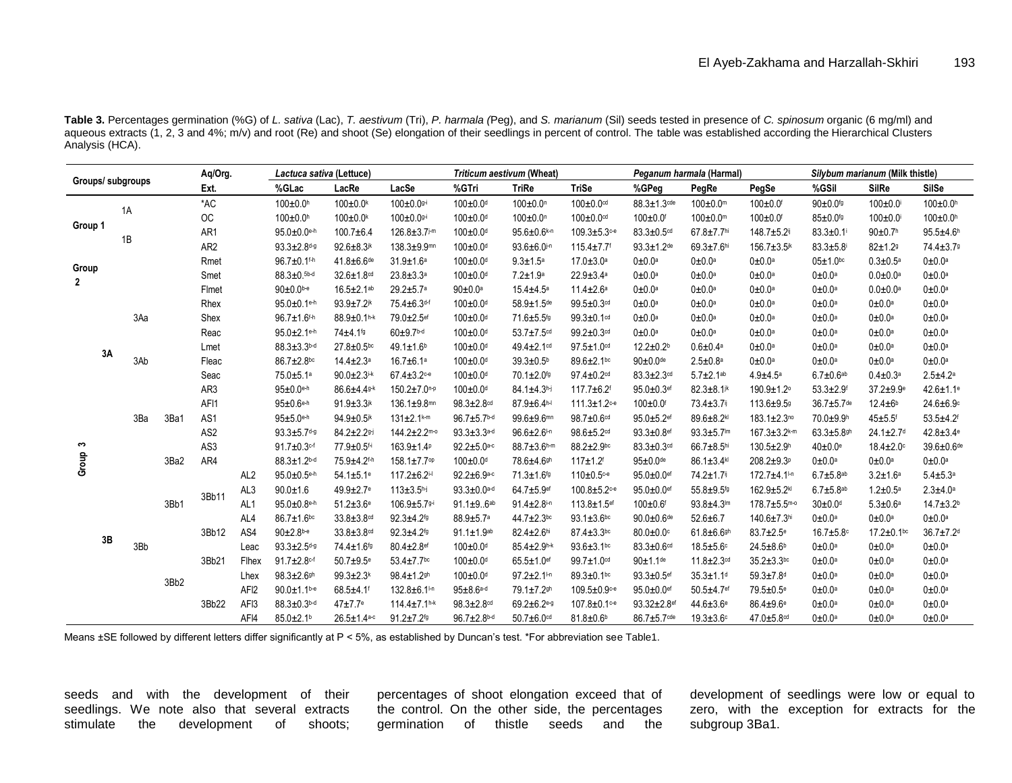**Table 3.** Percentages germination (%G) of *L. sativa* (Lac), *T. aestivum* (Tri), *P. harmala (*Peg), and *S. marianum* (Sil) seeds tested in presence of *C. spinosum* organic (6 mg/ml) and aqueous extracts (1, 2, 3 and 4%; m/v) and root (Re) and shoot (Se) elongation of their seedlings in percent of control. The table was established according the Hierarchical Clusters Analysis (HCA).

| Groups/ subgroups                |    | Aq/Org. |      | Lactuca sativa (Lettuce) |                  |                               | Triticum aestivum (Wheat)     |                                |                              | Peganum harmala (Harmal)      |                              |                               | Silybum marianum (Milk thistle) |                              |                         |                             |                             |
|----------------------------------|----|---------|------|--------------------------|------------------|-------------------------------|-------------------------------|--------------------------------|------------------------------|-------------------------------|------------------------------|-------------------------------|---------------------------------|------------------------------|-------------------------|-----------------------------|-----------------------------|
|                                  |    | Ext.    |      | %GLac                    | LacRe            | LacSe                         | %GTri                         | <b>TriRe</b>                   | <b>TriSe</b>                 | %GPeg                         | PegRe                        | PegSe                         | %GSil                           | <b>SilRe</b>                 | SilSe                   |                             |                             |
| Group 1<br>Group<br>$\mathbf{2}$ |    |         |      | $*AC$                    |                  | $100 \pm 0.0$ <sup>h</sup>    | $100 \pm 0.0$ <sup>k</sup>    | $100 \pm 0.09$ <sup>-i</sup>   | 100±0.0d                     | $100 \pm 0.0$ <sup>n</sup>    | $100 \pm 0.0$ <sup>cd</sup>  | $88.3 \pm 1.3$ <sup>cde</sup> | 100±0.0m                        | 100±0.0f                     | 90±0.0fg                | $100 \pm 0.0$               | $100 \pm 0.0$ <sup>h</sup>  |
|                                  |    | 1A      |      | OC                       |                  | $100 \pm 0.0$ <sup>h</sup>    | $100 \pm 0.0$ <sup>k</sup>    | 100±0.09-i                     | $100 \pm 0.0$ d              | $100 \pm 0.0$ <sup>n</sup>    | $100 \pm 0.0$ cd             | $100 \pm 0.0$ f               | $100 \pm 0.0$ <sup>m</sup>      | 100±0.0f                     | $85 \pm 0.0$ fg         | $100 \pm 0.0$               | $100 \pm 0.0$ <sup>h</sup>  |
|                                  |    | 1B      |      | AR1                      |                  | $95.0 \pm 0.0$ <sup>e-h</sup> | $100.7 + 6.4$                 | $126.8 \pm 3.7$ j-m            | 100±0.0 <sup>d</sup>         | 95.6±0.6k-n                   | $109.3 + 5.3$ c-e            | $83.3 \pm 0.5$ <sup>cd</sup>  | $67.8 \pm 7.7$ <sup>hi</sup>    | 148.7±5.2ij                  | $83.3 \pm 0.1$          | $90+0.7h$                   | $95.5 + 4.6$ <sup>h</sup>   |
|                                  |    |         |      | AR <sub>2</sub>          |                  | $93.3 \pm 2.8$ d-g            | $92.6 + 8.3$ jk               | $138.3 + 9.9$ mn               | 100±0.0d                     | 93.6±6.0i-n                   | $115.4 \pm 7.7$              | $93.3 + 1.2$ de               | $69.3 + 7.6$ hi                 | 156.7±3.5 <sup>jk</sup>      | $83.3 + 5.8$            | $82 + 1.29$                 | 74.4±3.79                   |
|                                  |    |         |      | Rmet                     |                  | 96.7±0.1fh                    | $41.8 \pm 6.6$ de             | $31.9 \pm 1.6^a$               | $100 \pm 0.0$ d              | $9.3 + 1.5a$                  | $17.0 \pm 3.0$ a             | $0\pm0.0a$                    | $0\pm0.0a$                      | $0\pm0.0a$                   | $05 \pm 1.0$ bc         | $0.3 + 0.5^a$               | $0\pm0.0a$                  |
|                                  |    |         |      | Smet                     |                  | $88.3 \pm 0.56$ d             | 32.6±1.8 <sup>cd</sup>        | $23.8 \pm 3.3^a$               | $100 \pm 0.0$ <sup>d</sup>   | $7.2 + 1.9$ <sup>a</sup>      | $22.9 \pm 3.4^a$             | $0 \pm 0.0$ <sup>a</sup>      | $0\pm0.0$ <sup>a</sup>          | $0\pm0.0a$                   | $0\pm0.0^a$             | $0.0 + 0.0^a$               | $0\pm0.0^a$                 |
|                                  |    |         |      | Flmet                    |                  | $90 \pm 0.0$ <sub>b-e</sub>   | $16.5 \pm 2.1$ ab             | $29.2 + 5.7$ <sup>a</sup>      | $90 \pm 0.0^{\circ}$         | $15.4 \pm 4.5^a$              | $11.4 \pm 2.6^a$             | 0±0.0 <sup>a</sup>            | $0\pm0.0$ <sup>a</sup>          | $0\pm0.0a$                   | $0\pm0.0$ <sup>a</sup>  | $0.0 + 0.0$ <sup>a</sup>    | $0\pm0.0^a$                 |
|                                  |    | 3Aa     |      | Rhex                     |                  | 95.0±0.1eh                    | $93.9 + 7.2$ <sup>jk</sup>    | 75.4±6.3df                     | $100 \pm 0.0$ d              | 58.9±1.5de                    | $99.5 \pm 0.3$ cd            | $0\pm0.0a$                    | $0\pm0.0a$                      | $0\pm0.0a$                   | $0\pm0.0a$              | $0\pm0.0a$                  | $0\pm0.0a$                  |
|                                  | 3A |         |      | Shex                     |                  | 96.7±1.6fh                    | 88.9±0.1h-k                   | 79.0±2.5ef                     | $100 \pm 0.0$ d              | 71.6±5.5fg                    | $99.3 \pm 0.1$ cd            | $0\pm0.0a$                    | $0\pm0.0$ <sup>a</sup>          | $0\pm0.0a$                   | $0\pm0.0a$              | $0\pm0.0a$                  | $0\pm0.0a$                  |
|                                  |    |         |      | Reac                     |                  | $95.0 \pm 2.1$ e-h            | 74±4.1 <sup>fg</sup>          | $60 + 9.7$ b-d                 | $100 \pm 0.0$ d              | $53.7 \pm 7.5$ <sup>cd</sup>  | $99.2 \pm 0.3$ cd            | $0\pm0.0a$                    | 0±0.0a                          | $0\pm0.0a$                   | $0\pm0.0a$              | $0\pm0.0a$                  | $0\pm0.0a$                  |
|                                  |    |         |      | Lmet                     |                  | $88.3 \pm 3.3$ b-d            | $27.8 \pm 0.5$ bc             | $49.1 \pm 1.6$ <sup>b</sup>    | $100 \pm 0.0$ <sup>d</sup>   | $49.4 \pm 2.1$ cd             | $97.5 \pm 1.0$ <sup>cd</sup> | $12.2 \pm 0.2$ <sup>b</sup>   | $0.6 + 0.4a$                    | $0\pm0.0a$                   | $0\pm0.0a$              | $0\pm0.0a$                  | $0\pm0.0a$                  |
|                                  |    | 3Ab     |      | Fleac                    |                  | $86.7 \pm 2.8$ bc             | $14.4 \pm 2.3$ <sup>a</sup>   | $16.7 \pm 6.1$ <sup>a</sup>    | 100±0.0d                     | $39.3 \pm 0.5^{\circ}$        | 89.6±2.1bc                   | $90\pm0.0$ de                 | $2.5 \pm 0.8^a$                 | $0\pm0.0a$                   | $0\pm0.0^a$             | $0\pm0.0$ <sup>a</sup>      | $0\pm0.0^a$                 |
|                                  |    |         |      | Seac                     |                  | 75.0±5.1ª                     | $90.0 + 2.3$ i-k              | $67.4 \pm 3.2$ c-e             | 100±0.0 <sup>d</sup>         | 70.1±2.0 <sup>fg</sup>        | $97.4 \pm 0.2$ cd            | $83.3 \pm 2.3$ <sup>cd</sup>  | $5.7 + 2.1$ <sup>ab</sup>       | $4.9 + 4.5^a$                | $6.7 \pm 0.6^{ab}$      | $0.4 \pm 0.3^a$             | $2.5 + 4.2a$                |
|                                  |    |         |      | AR3                      |                  | $95 \pm 0.0$ e-h              | 86.6±4.49-k                   | $150.2 \pm 7.0$ <sup>n-p</sup> | $100 \pm 0.0$ <sup>d</sup>   | 84.1±4.3h-j                   | 117.7±6.2f                   | 95.0±0.3ef                    | 82.3±8.1jk                      | 190.9±1.2°                   | $53.3 + 2.9$            | 37.2±9.9 <sup>e</sup>       | $42.6 \pm 1.1$ <sup>e</sup> |
|                                  |    |         | 3Ba1 | AFI1                     |                  | 95±0.6e-h                     | $91.9 \pm 3.3$ jk             | 136.1±9.8mm                    | $98.3 \pm 2.8$ <sup>cd</sup> | 87.9±6.4h-                    | $111.3 \pm 1.2$ c-e          | $100 \pm 0.0$ f               | 73.4±3.7ij                      | 113.6±9.59                   | 36.7±5.7de              | $12.4 + 6b$                 | $24.6 \pm 6.9$              |
|                                  |    | 3Ba     |      | AS1                      |                  | $95 + 5.0$ e-h                | 94.9±0.5jk                    | $131 \pm 2.1$ k-m              | 96.7±5.7b-d                  | 99.6±9.6mm                    | $98.7 \pm 0.6$ cd            | 95.0±5.2ef                    | 89.6±8.2kl                      | 183.1±2.3 <sup>no</sup>      | 70.0±9.9h               | $45 + 5.5$ <sup>f</sup>     | $53.5 + 4.2$ f              |
|                                  |    |         |      | AS <sub>2</sub>          |                  | $93.3 + 5.7$ d-g              | $84.2 \pm 2.29$               | $144.2 \pm 2.2$ <sup>m-o</sup> | $93.3 + 3.3$ a-d             | 96.6±2.6 <sup>I-n</sup>       | 98.6±5.2dd                   | $93.3 + 0.8$ ef               | $93.3 + 5.7$ lm                 | $167.3 \pm 3.2$ k-m          | $63.3 + 5.8$ gh         | $24.1 \pm 2.7$ <sup>d</sup> | $42.8 \pm 3.4$ <sup>e</sup> |
| S                                |    |         |      | AS3                      |                  | $91.7 \pm 0.3$ cf             | 77.9±0.5 <sup>f-i</sup>       | $163.9 + 1.4P$                 | $92.2 \pm 5.0$ a-c           | 88.7±3.6h-m                   | $88.2 \pm 2.9$ bc            | $83.3 \pm 0.3$ <sup>cd</sup>  | 66.7±8.5hi                      | $130.5 + 2.9h$               | $40\pm0.0$ <sup>e</sup> | $18.4 \pm 2.0$              | 39.6±0.6 <sup>de</sup>      |
| Group                            |    |         | 3Ba2 | AR4                      |                  | $88.3 \pm 1.2$ b-d            | 75.9±4.2f-h                   | 158.1±7.7 <sup>op</sup>        | $100 \pm 0.0$ <sup>d</sup>   | 78.6±4.6sh                    | $117 + 1.2$                  | $95 \pm 0.0$ de               | 86.1±3.4kl                      | $208.2 + 9.3$ <sup>p</sup>   | $0\pm0.0a$              | $0\pm0.0a$                  | $0\pm0.0a$                  |
|                                  |    |         | 3Bb1 |                          | AL <sub>2</sub>  | $95.0 \pm 0.5$ e-h            | $54.1 \pm 5.1$ <sup>e</sup>   | 117.2±6.2i-l                   | $92.2 \pm 6.9$ a-c           | 71.3±1.6 <sup>fg</sup>        | 110±0.5 ce                   | 95.0±0.0ef                    | 74.2±1.7ij                      | 172.7±4.1In                  | $6.7 + 5.8$ ab          | $3.2 + 1.6^a$               | $5.4 + 5.3a$                |
|                                  |    |         |      | 3Bb11                    | AL <sub>3</sub>  | $90.0 + 1.6$                  | $49.9 \pm 2.7$ <sup>e</sup>   | $113 \pm 3.5$ h-j              | $93.3 \pm 0.0$ a-d           | 64.7±5.9ef                    | $100.8 \pm 5.2$ c-e          | 95.0±0.0ef                    | 55.8±9.5fg                      | 162.9±5.2kl                  | $6.7 + 5.8$ ab          | $1.2 \pm 0.5^{\text{a}}$    | $2.3 + 4.0a$                |
|                                  | 3B |         |      |                          | AL <sub>1</sub>  | $95.0 \pm 0.8$ e-h            | $51.2 \pm 3.6$ <sup>e</sup>   | 106.9±5.79-i                   | $91.1 \pm 9.6$ ab            | $91.4 \pm 2.8$ i-n            | 113.8±1.5ef                  | $100 \pm 0.6$ <sup>f</sup>    | $93.8 + 4.3$ lm                 | 178.7±5.5m-0                 | $30\pm0.0$ <sup>d</sup> | $5.3 + 0.6a$                | $14.7 \pm 3.2$ <sup>b</sup> |
|                                  |    |         |      |                          | AL4              | $86.7 \pm 1.6$ bc             | 33.8±3.8 <sup>cd</sup>        | $92.3 + 4.2$ <sup>fg</sup>     | 88.9±5.7ª                    | 44.7±2.3bc                    | $93.1 \pm 3.6$ bc            | $90.0 + 0.6$ de               | $52.6 \pm 6.7$                  | 140.6±7.3hi                  | $0\pm0.0$ <sup>a</sup>  | $0\pm0.0$ <sup>a</sup>      | $0\pm0.0^a$                 |
|                                  |    | 3Bb     |      | 3Bb12                    | AS4              | $90+2.8$ b-e                  | 33.8±3.8 <sup>cd</sup>        | $92.3 + 4.2$ <sup>fg</sup>     | $91.1 \pm 1.9^{ab}$          | 82.4±2.6hi                    | $87.4 \pm 3.3$ bc            | $80.0 + 0.0$                  | $61.8 \pm 6.6$ gh               | $83.7 \pm 2.5$ <sup>e</sup>  | $16.7 + 5.8$            | $17.2 \pm 0.1$ bc           | $36.7 \pm 7.2$ <sup>d</sup> |
|                                  |    |         |      |                          | Leac             | $93.3 \pm 2.5$ d-g            | 74.4±1.6fg                    | $80.4 \pm 2.8$ ef              | $100 \pm 0.0$ <sup>d</sup>   | $85.4 \pm 2.9$ h-k            | $93.6 \pm 3.1$ bc            | $83.3 \pm 0.6$ <sup>cd</sup>  | 18.5±5.6°                       | 24.5±8.6 <sup>b</sup>        | $0\pm0.0a$              | $0\pm0.0a$                  | $0\pm0.0a$                  |
|                                  |    |         |      | 3Bb21                    | Flhex            | $91.7 \pm 2.8$ cf             | 50.7±9.5 <sup>e</sup>         | $53.4 \pm 7.7$ bc              | 100±0.0d                     | 65.5±1.0ef                    | 99.7±1.0cd                   | $90 + 1.1$ de                 | 11.8±2.3 <sup>od</sup>          | $35.2 \pm 3.3$ bc            | $0\pm0.0a$              | $0\pm0.0a$                  | $0\pm0.0a$                  |
|                                  |    |         | 3Bb2 |                          | Lhex             | $98.3 + 2.6$ gh               | $99.3 \pm 2.3$ <sup>k</sup>   | $98.4 \pm 1.2$ gh              | $100 \pm 0.0$ d              | $97.2 \pm 2.1$                | $89.3 \pm 0.1$ bc            | $93.3 \pm 0.5$ ef             | $35.3 \pm 1.1$ <sup>d</sup>     | $59.3 + 7.8$ <sup>d</sup>    | $0\pm0.0a$              | $0\pm0.0a$                  | $0\pm0.0a$                  |
|                                  |    |         |      |                          | AFI <sub>2</sub> | $90.0 + 1.1$ <sub>b-e</sub>   | $68.5 + 4.1$                  | 132.8±6.1                      | $95 + 8.6$ a-d               | 79.1±7.2sh                    | 109.5±0.9 <sup>c-e</sup>     | 95.0±0.0ef                    | 50.5±4.7ef                      | 79.5±0.5 <sup>e</sup>        | $0\pm0.0a$              | $0\pm0.0a$                  | $0\pm0.0a$                  |
|                                  |    |         |      | 3Bb22                    | AFI3             | 88.3±0.3 <sup>b-d</sup>       | $47 + 7.7$ <sup>e</sup>       | $114.4 \pm 7.1h+k$             | 98.3±2.8 <sup>od</sup>       | $69.2 \pm 6.2$ <sup>e-g</sup> | 107.8±0.1 <sup>c-e</sup>     | 93.32±2.8ef                   | $44.6 \pm 3.6$ <sup>e</sup>     | $86.4 \pm 9.6$ <sup>e</sup>  | $0\pm0.0$ <sup>a</sup>  | $0\pm0.0$ <sup>a</sup>      | $0\pm0.0^a$                 |
|                                  |    |         |      |                          | AFI4             | $85.0 \pm 2.1$ <sup>b</sup>   | $26.5 \pm 1.4$ <sup>a-c</sup> | $91.2 \pm 7.2$ <sup>fg</sup>   | $96.7 \pm 2.8$ b-d           | $50.7 \pm 6.0$ <sup>cd</sup>  | $81.8 \pm 0.6$ <sup>b</sup>  | 86.7±5.7cde                   | $19.3 \pm 3.6$ °                | $47.0 \pm 5.8$ <sup>cd</sup> | $0\pm0.0$ <sup>a</sup>  | $0\pm0.0^{\circ}$           | $0\pm0.0^{\mathrm{a}}$      |

Means ±SE followed by different letters differ significantly at P < 5%, as established by Duncan's test. \*For abbreviation see Table1.

seeds and with the development of their seedlings. We note also that several extracts stimulate the development of shoots;

percentages of shoot elongation exceed that of the control. On the other side, the percentages germination of thistle seeds and the

development of seedlings were low or equal to zero, with the exception for extracts for the subgroup 3Ba1.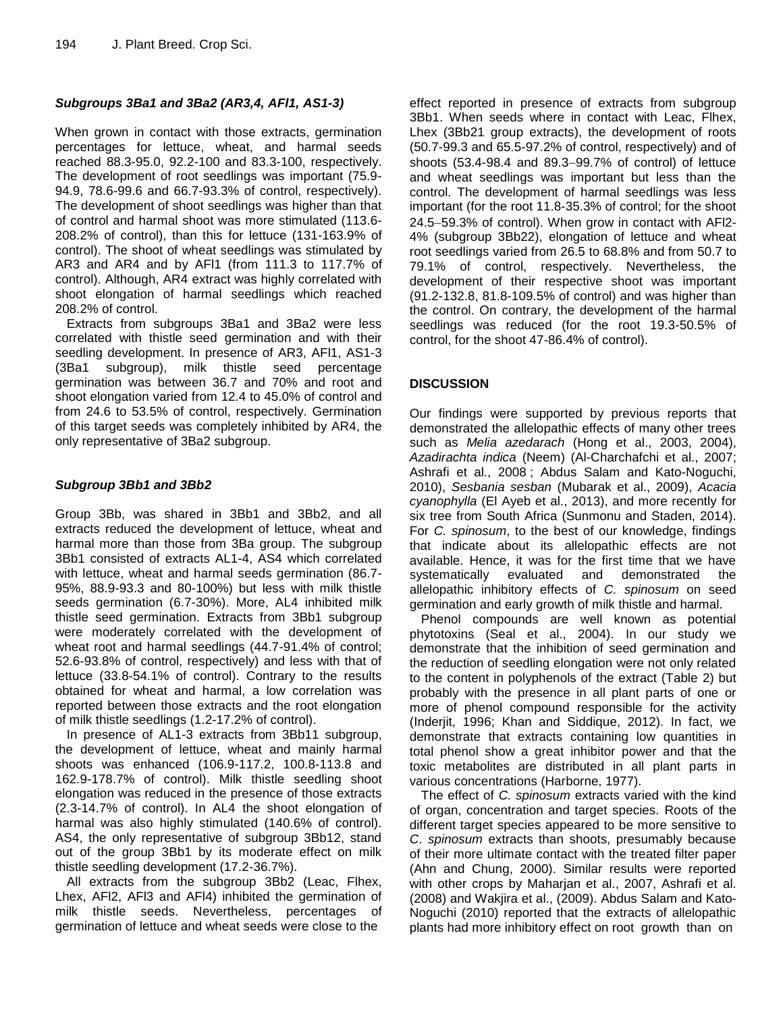# *Subgroups 3Ba1 and 3Ba2 (AR3,4, AFl1, AS1-3)*

When grown in contact with those extracts, germination percentages for lettuce, wheat, and harmal seeds reached 88.3-95.0, 92.2-100 and 83.3-100, respectively. The development of root seedlings was important (75.9- 94.9, 78.6-99.6 and 66.7-93.3% of control, respectively). The development of shoot seedlings was higher than that of control and harmal shoot was more stimulated (113.6- 208.2% of control), than this for lettuce (131-163.9% of control). The shoot of wheat seedlings was stimulated by AR3 and AR4 and by AFl1 (from 111.3 to 117.7% of control). Although, AR4 extract was highly correlated with shoot elongation of harmal seedlings which reached 208.2% of control.

Extracts from subgroups 3Ba1 and 3Ba2 were less correlated with thistle seed germination and with their seedling development. In presence of AR3, AFl1, AS1-3 (3Ba1 subgroup), milk thistle seed percentage germination was between 36.7 and 70% and root and shoot elongation varied from 12.4 to 45.0% of control and from 24.6 to 53.5% of control, respectively. Germination of this target seeds was completely inhibited by AR4, the only representative of 3Ba2 subgroup.

# *Subgroup 3Bb1 and 3Bb2*

Group 3Bb, was shared in 3Bb1 and 3Bb2, and all extracts reduced the development of lettuce, wheat and harmal more than those from 3Ba group. The subgroup 3Bb1 consisted of extracts AL1-4, AS4 which correlated with lettuce, wheat and harmal seeds germination (86.7- 95%, 88.9-93.3 and 80-100%) but less with milk thistle seeds germination (6.7-30%). More, AL4 inhibited milk thistle seed germination. Extracts from 3Bb1 subgroup were moderately correlated with the development of wheat root and harmal seedlings (44.7-91.4% of control; 52.6-93.8% of control, respectively) and less with that of lettuce (33.8-54.1% of control). Contrary to the results obtained for wheat and harmal, a low correlation was reported between those extracts and the root elongation of milk thistle seedlings (1.2-17.2% of control).

In presence of AL1-3 extracts from 3Bb11 subgroup, the development of lettuce, wheat and mainly harmal shoots was enhanced (106.9-117.2, 100.8-113.8 and 162.9-178.7% of control). Milk thistle seedling shoot elongation was reduced in the presence of those extracts (2.3-14.7% of control). In AL4 the shoot elongation of harmal was also highly stimulated (140.6% of control). AS4, the only representative of subgroup 3Bb12, stand out of the group 3Bb1 by its moderate effect on milk thistle seedling development (17.2-36.7%).

All extracts from the subgroup 3Bb2 (Leac, Flhex, Lhex, AFl2, AFl3 and AFl4) inhibited the germination of milk thistle seeds. Nevertheless, percentages of germination of lettuce and wheat seeds were close to the

effect reported in presence of extracts from subgroup 3Bb1. When seeds where in contact with Leac, Flhex, Lhex (3Bb21 group extracts), the development of roots (50.7-99.3 and 65.5-97.2% of control, respectively) and of shoots (53.4-98.4 and 89.3-99.7% of control) of lettuce and wheat seedlings was important but less than the control. The development of harmal seedlings was less important (for the root 11.8-35.3% of control; for the shoot 24.5-59.3% of control). When grow in contact with AFI2-4% (subgroup 3Bb22), elongation of lettuce and wheat root seedlings varied from 26.5 to 68.8% and from 50.7 to 79.1% of control, respectively. Nevertheless, the development of their respective shoot was important (91.2-132.8, 81.8-109.5% of control) and was higher than the control. On contrary, the development of the harmal seedlings was reduced (for the root 19.3-50.5% of control, for the shoot 47-86.4% of control).

# **DISCUSSION**

Our findings were supported by previous reports that demonstrated the allelopathic effects of many other trees such as *Melia azedarach* [\(Hong et al., 2003,](http://scialert.net/fulltext/?doi=ijar.2011.149.162&org=10#541677_ja) [2004\)](http://scialert.net/fulltext/?doi=ijar.2011.149.162&org=10#623014_ja), *Azadirachta indica* (Neem) [\(Al-Charchafchi et al., 2007;](http://scialert.net/fulltext/?doi=ijar.2011.149.162&org=10#23308_ja) [Ashrafi et al., 2008](http://scialert.net/fulltext/?doi=ijar.2011.149.162&org=10#385198_ja) ; Abdus Salam and Kato-Noguchi, 2010), *Sesbania sesban* [\(Mubarak et al., 2009\)](http://scialert.net/fulltext/?doi=ijar.2011.149.162&org=10#623074_ja), *Acacia cyanophylla* (El Ayeb et al., 2013), and more recently for six tree from South Africa (Sunmonu and Staden, 2014). For *C. spinosum*, to the best of our knowledge, findings that indicate about its allelopathic effects are not available. Hence, it was for the first time that we have systematically evaluated and demonstrated the allelopathic inhibitory effects of *C. spinosum* on seed germination and early growth of milk thistle and harmal.

Phenol compounds are well known as potential phytotoxins (Seal et al., 2004). In our study we demonstrate that the inhibition of seed germination and the reduction of seedling elongation were not only related to the content in polyphenols of the extract (Table 2) but probably with the presence in all plant parts of one or more of phenol compound responsible for the activity (Inderjit, 1996; Khan and Siddique, 2012). In fact, we demonstrate that extracts containing low quantities in total phenol show a great inhibitor power and that the toxic metabolites are distributed in all plant parts in various concentrations (Harborne, 1977).

The effect of *C. spinosum* extracts varied with the kind of organ, concentration and target species. Roots of the different target species appeared to be more sensitive to *C*. *spinosum* extracts than shoots, presumably because of their more ultimate contact with the treated filter paper (Ahn and Chung, 2000). Similar results were reported with other crops by Maharjan et al., 2007, Ashrafi et al. (2008) and Wakjira et al., (2009). Abdus Salam and Kato-Noguchi (2010) reported that the extracts of allelopathic plants had more inhibitory effect on root growth than on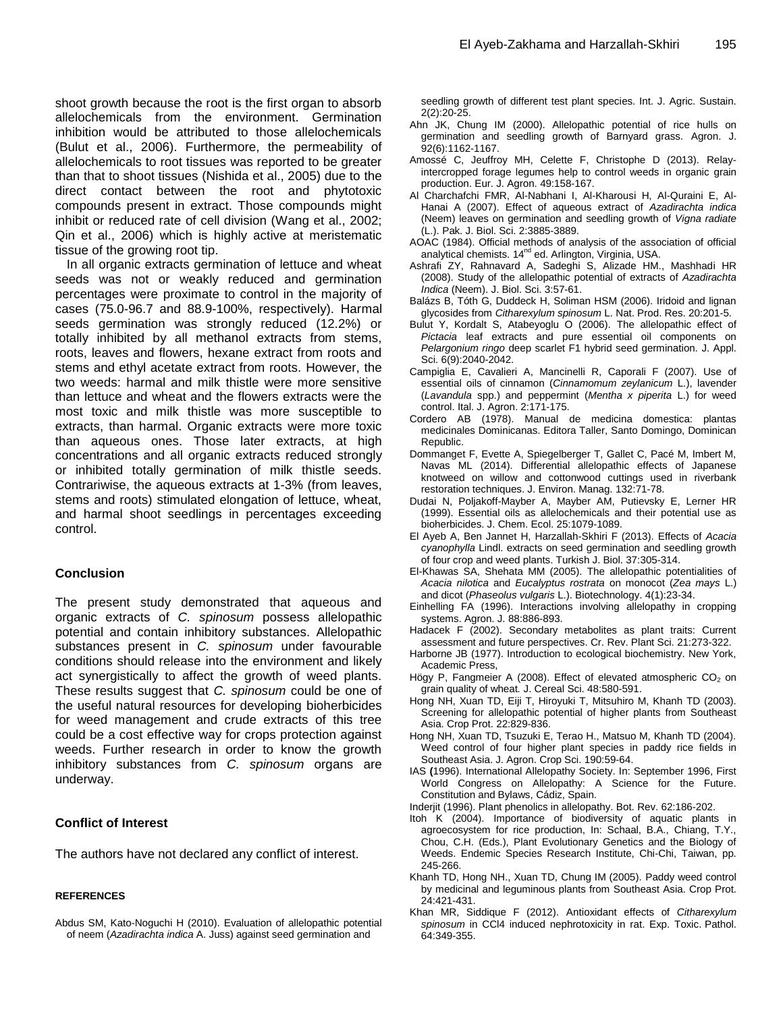shoot growth because the root is the first organ to absorb allelochemicals from the environment. Germination inhibition would be attributed to those allelochemicals (Bulut et al., 2006). Furthermore, the permeability of allelochemicals to root tissues was reported to be greater than that to shoot tissues (Nishida et al., 2005) due to the direct contact between the root and phytotoxic compounds present in extract. Those compounds might inhibit or reduced rate of cell division (Wang et al., 2002; [Qin](http://www.ncbi.nlm.nih.gov/pubmed/?term=Qin%20B%5Bauth%5D) et al., 2006) which is highly active at meristematic tissue of the growing root tip.

In all organic extracts germination of lettuce and wheat seeds was not or weakly reduced and germination percentages were proximate to control in the majority of cases (75.0-96.7 and 88.9-100%, respectively). Harmal seeds germination was strongly reduced (12.2%) or totally inhibited by all methanol extracts from stems, roots, leaves and flowers, hexane extract from roots and stems and ethyl acetate extract from roots. However, the two weeds: harmal and milk thistle were more sensitive than lettuce and wheat and the flowers extracts were the most toxic and milk thistle was more susceptible to extracts, than harmal. Organic extracts were more toxic than aqueous ones. Those later extracts, at high concentrations and all organic extracts reduced strongly or inhibited totally germination of milk thistle seeds. Contrariwise, the aqueous extracts at 1-3% (from leaves, stems and roots) stimulated elongation of lettuce, wheat, and harmal shoot seedlings in percentages exceeding control.

# **Conclusion**

The present study demonstrated that aqueous and organic extracts of *C. spinosum* possess allelopathic potential and contain inhibitory substances. Allelopathic substances present in *C. spinosum* under favourable conditions should release into the environment and likely act synergistically to affect the growth of weed plants. These results suggest that *C. spinosum* could be one of the useful natural resources for developing bioherbicides for weed management and crude extracts of this tree could be a cost effective way for crops protection against weeds. Further research in order to know the growth inhibitory substances from *C. spinosum* organs are underway.

# **Conflict of Interest**

The authors have not declared any conflict of interest.

#### **REFERENCES**

Abdus SM, Kato-Noguchi H (2010). Evaluation of allelopathic potential of neem (*Azadirachta indica* A. Juss) against seed germination and

seedling growth of different test plant species. Int. J. Agric. Sustain. 2(2):20-25.

- Ahn JK, Chung IM (2000). Allelopathic potential of rice hulls on germination and seedling growth of Barnyard grass. Agron. J. 92(6):1162-1167.
- Amossé C, Jeuffroy MH, Celette F, Christophe D (2013). Relayintercropped forage legumes help to control weeds in organic grain production. Eur. J. Agron. 49:158-167.
- Al Charchafchi FMR, Al-Nabhani I, Al-Kharousi H, Al-Quraini E, Al-Hanai A (2007). Effect of aqueous extract of *Azadirachta indica* (Neem) leaves on germination and seedling growth of *Vigna radiate* (L.). Pak. J. Biol. Sci. 2:3885-3889.
- AOAC (1984). Official methods of analysis of the association of official analytical chemists. 14<sup>nd</sup> ed. Arlington, Virginia, USA.
- Ashrafi ZY, Rahnavard A, Sadeghi S, Alizade HM., Mashhadi HR (2008). Study of the allelopathic potential of extracts of *Azadirachta Indica* (Neem). J. Biol. Sci. 3:57-61.
- Balázs B, Tóth G, Duddeck H, Soliman HSM (2006). Iridoid and lignan glycosides from *Citharexylum spinosum* L. Nat. Prod. Res. 20:201-5.
- Bulut Y, Kordalt S, Atabeyoglu O (2006). The allelopathic effect of *Pictacia* leaf extracts and pure essential oil components on *Pelargonium ringo* deep scarlet F1 hybrid seed germination. J. Appl. Sci. 6(9):2040-2042.
- Campiglia E, Cavalieri A, Mancinelli R, Caporali F (2007). Use of essential oils of cinnamon (*Cinnamomum zeylanicum* L.), lavender (*Lavandula* spp.) and peppermint (*Mentha x piperita* L.) for weed control. Ital. J. Agron. 2:171-175.
- Cordero AB (1978). Manual de medicina domestica: plantas medicinales Dominicanas. Editora Taller, Santo Domingo, Dominican Republic.
- Dommanget F, Evette A, Spiegelberger T, Gallet C, Pacé M, Imbert M, Navas ML (2014). Differential allelopathic effects of Japanese knotweed on willow and cottonwood cuttings used in riverbank restoration techniques. J. Environ. Manag. 132:71-78.
- Dudai N, Poljakoff-Mayber A, Mayber AM, Putievsky E, Lerner HR (1999). Essential oils as allelochemicals and their potential use as bioherbicides. J. Chem. Ecol. 25:1079-1089.
- El Ayeb A, Ben Jannet H, Harzallah-Skhiri F (2013). Effects of *Acacia cyanophylla* Lindl. extracts on seed germination and seedling growth of four crop and weed plants. Turkish J. Biol. 37:305-314.
- El-Khawas SA, Shehata MM (2005). The allelopathic potentialities of *Acacia nilotica* and *Eucalyptus rostrata* on monocot (*Zea mays* L.) and dicot (*Phaseolus vulgaris* L.). Biotechnology. 4(1):23-34.
- Einhelling FA (1996). Interactions involving allelopathy in cropping systems. Agron. J. 88:886-893.
- Hadacek F (2002). Secondary metabolites as plant traits: Current assessment and future perspectives. Cr. Rev. Plant Sci. 21:273-322.
- Harborne JB (1977). Introduction to ecological biochemistry. New York, Academic Press,
- Högy P, Fangmeier A (2008). Effect of elevated atmospheric  $CO<sub>2</sub>$  on grain quality of wheat*.* J. Cereal Sci. 48:580-591.
- Hong NH, Xuan TD, Eiji T, Hiroyuki T, Mitsuhiro M, Khanh TD (2003). Screening for allelopathic potential of higher plants from Southeast Asia. Crop Prot. 22:829-836.
- Hong NH, Xuan TD, Tsuzuki E, Terao H., Matsuo M, Khanh TD (2004). Weed control of four higher plant species in paddy rice fields in Southeast Asia. J. Agron. Crop Sci. 190:59-64.
- IAS **(**1996). International Allelopathy Society. In: September 1996, First World Congress on Allelopathy: A Science for the Future. Constitution and Bylaws, Cádiz, Spain.
- Inderjit (1996). Plant phenolics in allelopathy. Bot. Rev. 62:186-202.
- Itoh K (2004). Importance of biodiversity of aquatic plants in agroecosystem for rice production, In: Schaal, B.A., Chiang, T.Y., Chou, C.H. (Eds.), Plant Evolutionary Genetics and the Biology of Weeds. Endemic Species Research Institute, Chi-Chi, Taiwan, pp. 245-266.
- Khanh TD, Hong NH., Xuan TD, Chung IM (2005). Paddy weed control by medicinal and leguminous plants from Southeast Asia. Crop Prot. 24:421-431.
- Khan MR, Siddique F (2012). Antioxidant effects of *Citharexylum spinosum* in CCl4 induced nephrotoxicity in rat. Exp. Toxic. Pathol. 64:349-355.